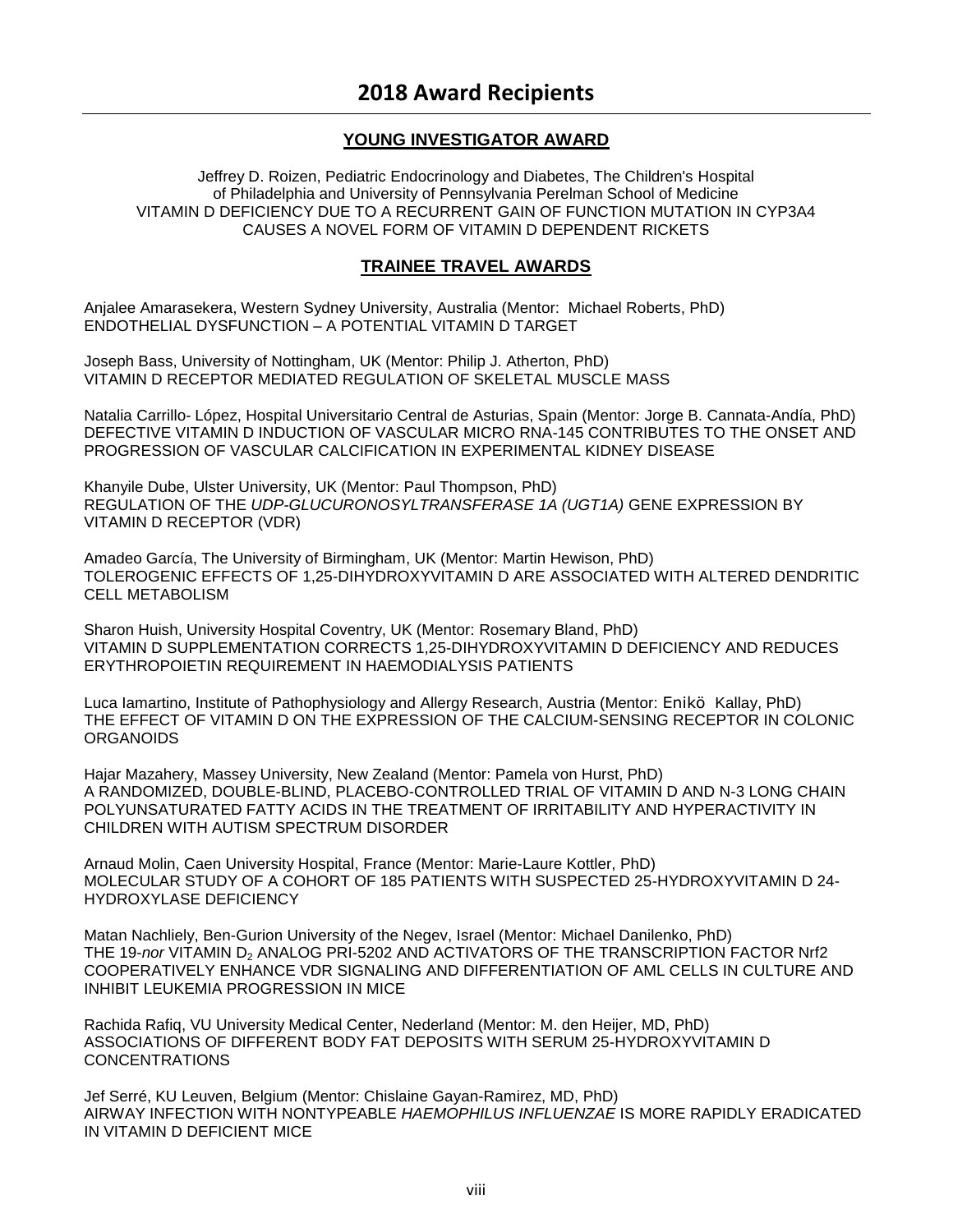## **YOUNG INVESTIGATOR AWARD**

Jeffrey D. Roizen, Pediatric Endocrinology and Diabetes, The Children's Hospital of Philadelphia and University of Pennsylvania Perelman School of Medicine VITAMIN D DEFICIENCY DUE TO A RECURRENT GAIN OF FUNCTION MUTATION IN CYP3A4 CAUSES A NOVEL FORM OF VITAMIN D DEPENDENT RICKETS

## **TRAINEE TRAVEL AWARDS**

Anjalee Amarasekera, Western Sydney University, Australia (Mentor: Michael Roberts, PhD) ENDOTHELIAL DYSFUNCTION – A POTENTIAL VITAMIN D TARGET

Joseph Bass, University of Nottingham, UK (Mentor: Philip J. Atherton, PhD) VITAMIN D RECEPTOR MEDIATED REGULATION OF SKELETAL MUSCLE MASS

Natalia Carrillo- López, Hospital Universitario Central de Asturias, Spain (Mentor: Jorge B. Cannata-Andía, PhD) DEFECTIVE VITAMIN D INDUCTION OF VASCULAR MICRO RNA-145 CONTRIBUTES TO THE ONSET AND PROGRESSION OF VASCULAR CALCIFICATION IN EXPERIMENTAL KIDNEY DISEASE

Khanyile Dube, Ulster University, UK (Mentor: Paul Thompson, PhD) REGULATION OF THE *UDP-GLUCURONOSYLTRANSFERASE 1A (UGT1A)* GENE EXPRESSION BY VITAMIN D RECEPTOR (VDR)

Amadeo García, The University of Birmingham, UK (Mentor: Martin Hewison, PhD) TOLEROGENIC EFFECTS OF 1,25-DIHYDROXYVITAMIN D ARE ASSOCIATED WITH ALTERED DENDRITIC CELL METABOLISM

Sharon Huish, University Hospital Coventry, UK (Mentor: Rosemary Bland, PhD) VITAMIN D SUPPLEMENTATION CORRECTS 1,25-DIHYDROXYVITAMIN D DEFICIENCY AND REDUCES ERYTHROPOIETIN REQUIREMENT IN HAEMODIALYSIS PATIENTS

Luca Iamartino, Institute of Pathophysiology and Allergy Research, Austria (Mentor: Enikö Kallay, PhD) THE EFFECT OF VITAMIN D ON THE EXPRESSION OF THE CALCIUM-SENSING RECEPTOR IN COLONIC ORGANOIDS

Hajar Mazahery, Massey University, New Zealand (Mentor: Pamela von Hurst, PhD) A RANDOMIZED, DOUBLE-BLIND, PLACEBO-CONTROLLED TRIAL OF VITAMIN D AND N-3 LONG CHAIN POLYUNSATURATED FATTY ACIDS IN THE TREATMENT OF IRRITABILITY AND HYPERACTIVITY IN CHILDREN WITH AUTISM SPECTRUM DISORDER

Arnaud Molin, Caen University Hospital, France (Mentor: Marie-Laure Kottler, PhD) MOLECULAR STUDY OF A COHORT OF 185 PATIENTS WITH SUSPECTED 25-HYDROXYVITAMIN D 24- HYDROXYLASE DEFICIENCY

Matan Nachliely, Ben-Gurion University of the Negev, Israel (Mentor: Michael Danilenko, PhD) THE 19-nor VITAMIN D<sub>2</sub> ANALOG PRI-5202 AND ACTIVATORS OF THE TRANSCRIPTION FACTOR Nrf2 COOPERATIVELY ENHANCE VDR SIGNALING AND DIFFERENTIATION OF AML CELLS IN CULTURE AND INHIBIT LEUKEMIA PROGRESSION IN MICE

Rachida Rafiq, VU University Medical Center, Nederland (Mentor: M. den Heijer, MD, PhD) ASSOCIATIONS OF DIFFERENT BODY FAT DEPOSITS WITH SERUM 25-HYDROXYVITAMIN D CONCENTRATIONS

Jef Serré, KU Leuven, Belgium (Mentor: Chislaine Gayan-Ramirez, MD, PhD) AIRWAY INFECTION WITH NONTYPEABLE *HAEMOPHILUS INFLUENZAE* IS MORE RAPIDLY ERADICATED IN VITAMIN D DEFICIENT MICE